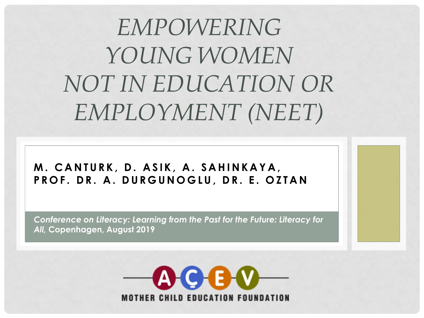*EMPOWERING YOUNG WOMEN NOT IN EDUCATION OR EMPLOYMENT (NEET)*

**M. CANTURK, D. ASIK, A. SAHINKAYA , PROF . DR. A. DURGUNOGLU , DR. E. O Z T A N**

*Conference on Literacy: Learning from the Past for the Future: Literacy for All,* **Copenhagen, August 2019** 

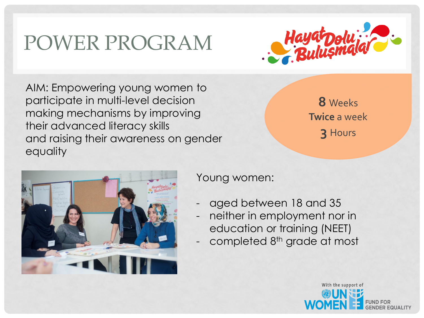# POWER PROGRAM



AIM: Empowering young women to participate in multi-level decision making mechanisms by improving their advanced literacy skills and raising their awareness on gender equality

**8** Weeks **Twice** a week **3** Hours

With the support of



Young women:

- aged between 18 and 35
- neither in employment nor in education or training (NEET)
- completed 8<sup>th</sup> grade at most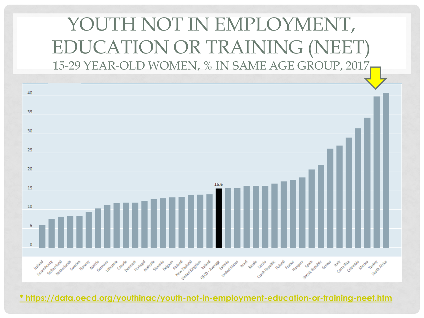## YOUTH NOT IN EMPLOYMENT, EDUCATION OR TRAINING (NEET) 15-29 YEAR-OLD WOMEN, % IN SAME AGE GROUP, 2017



**[\\* https://data.oecd.org/youthinac/youth-not-in-employment-education-or-training-neet.htm](https://data.oecd.org/youthinac/youth-not-in-employment-education-or-training-neet.htm)**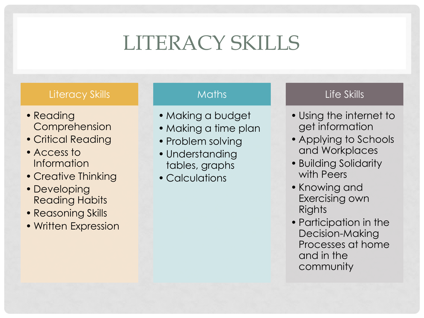# LITERACY SKILLS

#### Literacy Skills

- Reading Comprehension
- Critical Reading
- Access to Information
- Creative Thinking
- Developing Reading Habits
- Reasoning Skills
- Written Expression

#### **Maths**

- Making a budget
- Making a time plan
- Problem solving
- Understanding tables, graphs
- Calculations

#### Life Skills

- Using the internet to get information
- Applying to Schools and Workplaces
- Building Solidarity with Peers
- Knowing and Exercising own **Rights**
- Participation in the Decision-Making Processes at home and in the community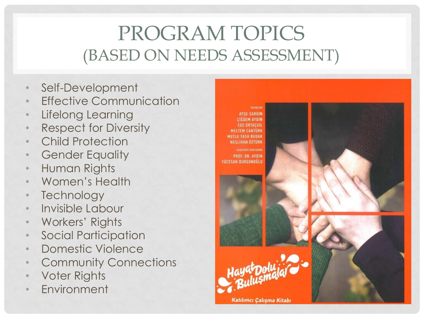## PROGRAM TOPICS (BASED ON NEEDS ASSESSMENT)

- Self-Development
- **Effective Communication**
- Lifelong Learning
- Respect for Diversity
- Child Protection
- **Gender Equality**
- Human Rights
- Women's Health
- **Technology**
- Invisible Labour
- Workers' Rights
- Social Participation
- Domestic Violence
- **Community Connections**
- Voter Rights
- **Environment**

**AYSE SARGIN CIGDEM AYDIN FGE ORTACGIL MELTEM CANTURE MUTLU YASA BUDAK NESLIHAN OZTÜRK** PROF. DR. AYDIN YÜCESAN DURGUNGĞLU

**YAZARLAI** 



Katılımcı Çalışma Kitabı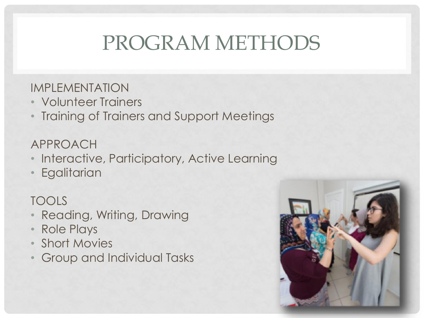# PROGRAM METHODS

### IMPLEMENTATION

- Volunteer Trainers
- Training of Trainers and Support Meetings

## APPROACH

- Interactive, Participatory, Active Learning
- Egalitarian

## TOOLS

- Reading, Writing, Drawing
- Role Plays
- Short Movies
- Group and Individual Tasks

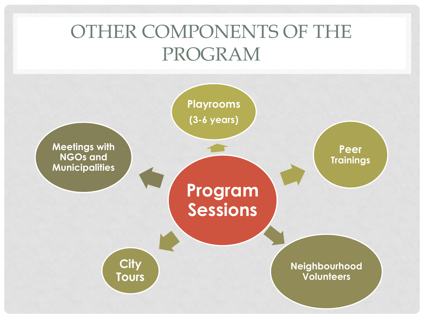## OTHER COMPONENTS OF THE PROGRAM

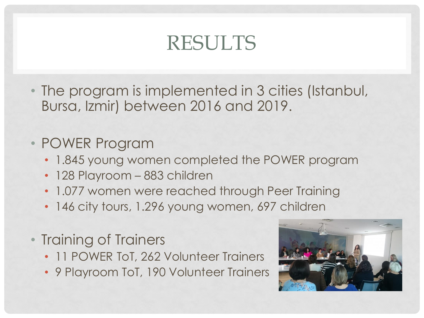## RESULTS

• The program is implemented in 3 cities (Istanbul, Bursa, Izmir) between 2016 and 2019.

## • POWER Program

- 1.845 young women completed the POWER program
- 128 Playroom 883 children
- 1.077 women were reached through Peer Training
- 146 city tours, 1.296 young women, 697 children
- Training of Trainers
	- 11 POWER ToT, 262 Volunteer Trainers
	- 9 Playroom ToT, 190 Volunteer Trainers

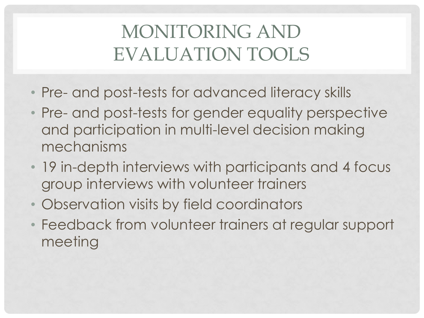## MONITORING AND EVALUATION TOOLS

- Pre- and post-tests for advanced literacy skills
- Pre- and post-tests for gender equality perspective and participation in multi-level decision making mechanisms
- 19 in-depth interviews with participants and 4 focus group interviews with volunteer trainers
- Observation visits by field coordinators
- Feedback from volunteer trainers at regular support meeting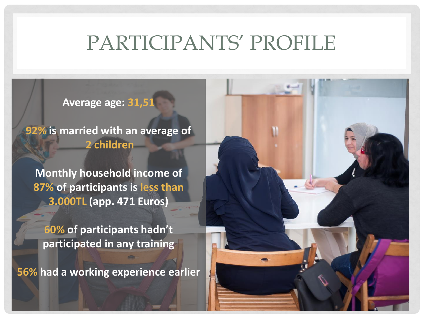## PARTICIPANTS' PROFILE

**Average age: 31,51**

**92% is married with an average of 2 children**

**Monthly household income of 87% of participants is less than 3.000TL (app. 471 Euros)** 

**60% of participants hadn't participated in any training**

**56% had a working experience earlier**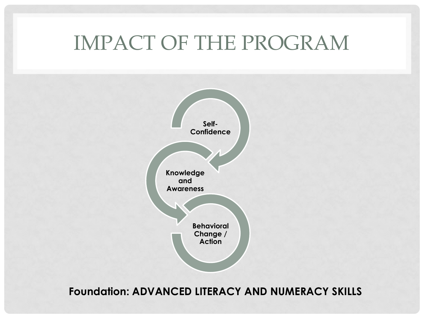## IMPACT OF THE PROGRAM



**Foundation: ADVANCED LITERACY AND NUMERACY SKILLS**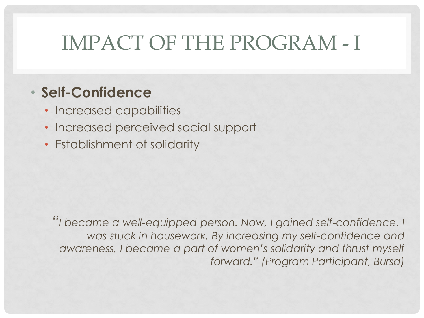# IMPACT OF THE PROGRAM - I

## • **Self-Confidence**

- Increased capabilities
- Increased perceived social support
- Establishment of solidarity

*"I became a well-equipped person. Now, I gained self-confidence. I was stuck in housework. By increasing my self-confidence and awareness, I became a part of women's solidarity and thrust myself forward." (Program Participant, Bursa)*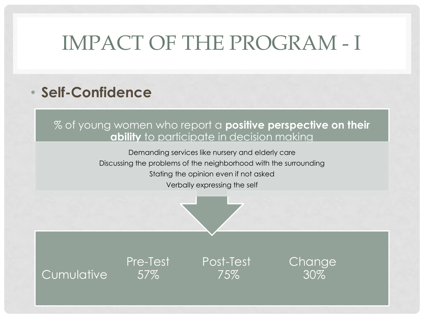# IMPACT OF THE PROGRAM - I

## • **Self-Confidence**

#### % of young women who report a **positive perspective on their ability** to participate in decision making

Demanding services like nursery and elderly care Discussing the problems of the neighborhood with the surrounding Stating the opinion even if not asked Verbally expressing the self



Cumulative 57% 75% 30%

Pre-Test Post-Test Change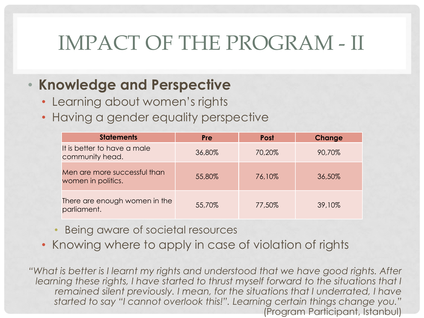# IMPACT OF THE PROGRAM - II

## • **Knowledge and Perspective**

- Learning about women's rights
- Having a gender equality perspective

| <b>Statements</b>                                  | <b>Pre</b> | <b>Post</b> | Change |
|----------------------------------------------------|------------|-------------|--------|
| It is better to have a male<br>community head.     | 36,80%     | 70,20%      | 90,70% |
| Men are more successful than<br>women in politics. | 55,80%     | 76,10%      | 36,50% |
| There are enough women in the<br>parliament.       | 55,70%     | 77,50%      | 39,10% |

- Being aware of societal resources
- Knowing where to apply in case of violation of rights

*"What is better is I learnt my rights and understood that we have good rights. After learning these rights, I have started to thrust myself forward to the situations that I remained silent previously. I mean, for the situations that I underrated, I have started to say "I cannot overlook this!". Learning certain things change you."*  (Program Participant, Istanbul)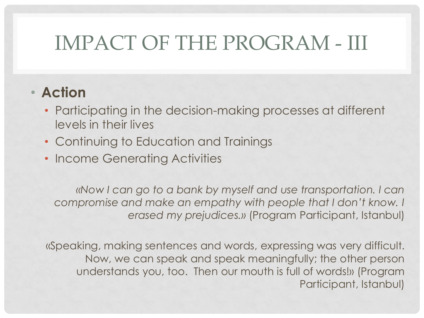# IMPACT OF THE PROGRAM - III

## • **Action**

- Participating in the decision-making processes at different levels in their lives
- Continuing to Education and Trainings
- Income Generating Activities

*«Now I can go to a bank by myself and use transportation. I can compromise and make an empathy with people that I don't know. I erased my prejudices.»* (Program Participant, Istanbul)

«Speaking, making sentences and words, expressing was very difficult. Now, we can speak and speak meaningfully; the other person understands you, too. Then our mouth is full of words!» (Program Participant, Istanbul)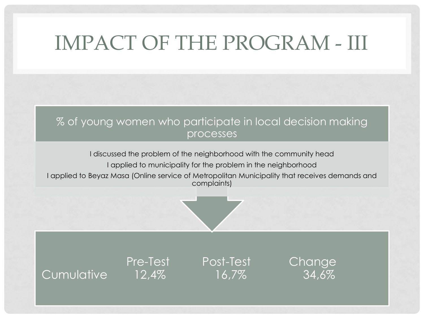# IMPACT OF THE PROGRAM - III

#### % of young women who participate in local decision making processes

I discussed the problem of the neighborhood with the community head

I applied to municipality for the problem in the neighborhood

I applied to Beyaz Masa (Online service of Metropolitan Municipality that receives demands and complaints)



Cumulative 12,4% 16,7%

Pre-Test Post-Test Change<br>12.4% 16.7% 34.6%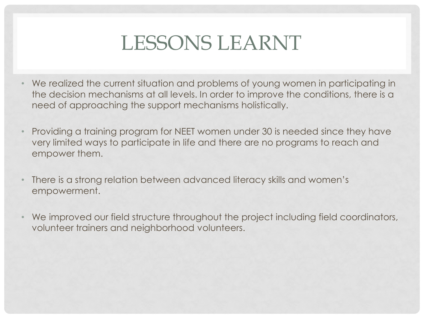## LESSONS LEARNT

- We realized the current situation and problems of young women in participating in the decision mechanisms at all levels. In order to improve the conditions, there is a need of approaching the support mechanisms holistically.
- Providing a training program for NEET women under 30 is needed since they have very limited ways to participate in life and there are no programs to reach and empower them.
- There is a strong relation between advanced literacy skills and women's empowerment.
- We improved our field structure throughout the project including field coordinators, volunteer trainers and neighborhood volunteers.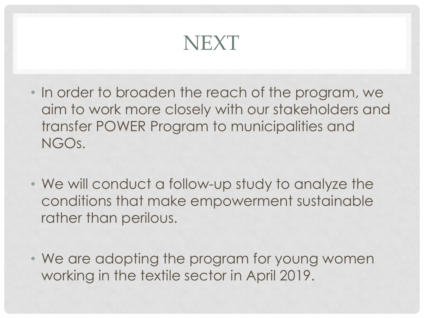## NEXT

- In order to broaden the reach of the program, we aim to work more closely with our stakeholders and transfer POWER Program to municipalities and NGOs.
- We will conduct a follow-up study to analyze the conditions that make empowerment sustainable rather than perilous.
- We are adopting the program for young women working in the textile sector in April 2019.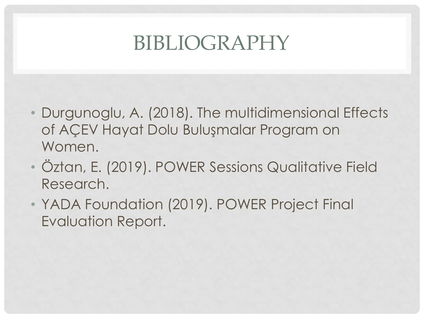## BIBLIOGRAPHY

- Durgunoglu, A. (2018). The multidimensional Effects of AÇEV Hayat Dolu Buluşmalar Program on Women.
- Öztan, E. (2019). POWER Sessions Qualitative Field Research.
- YADA Foundation (2019). POWER Project Final Evaluation Report.